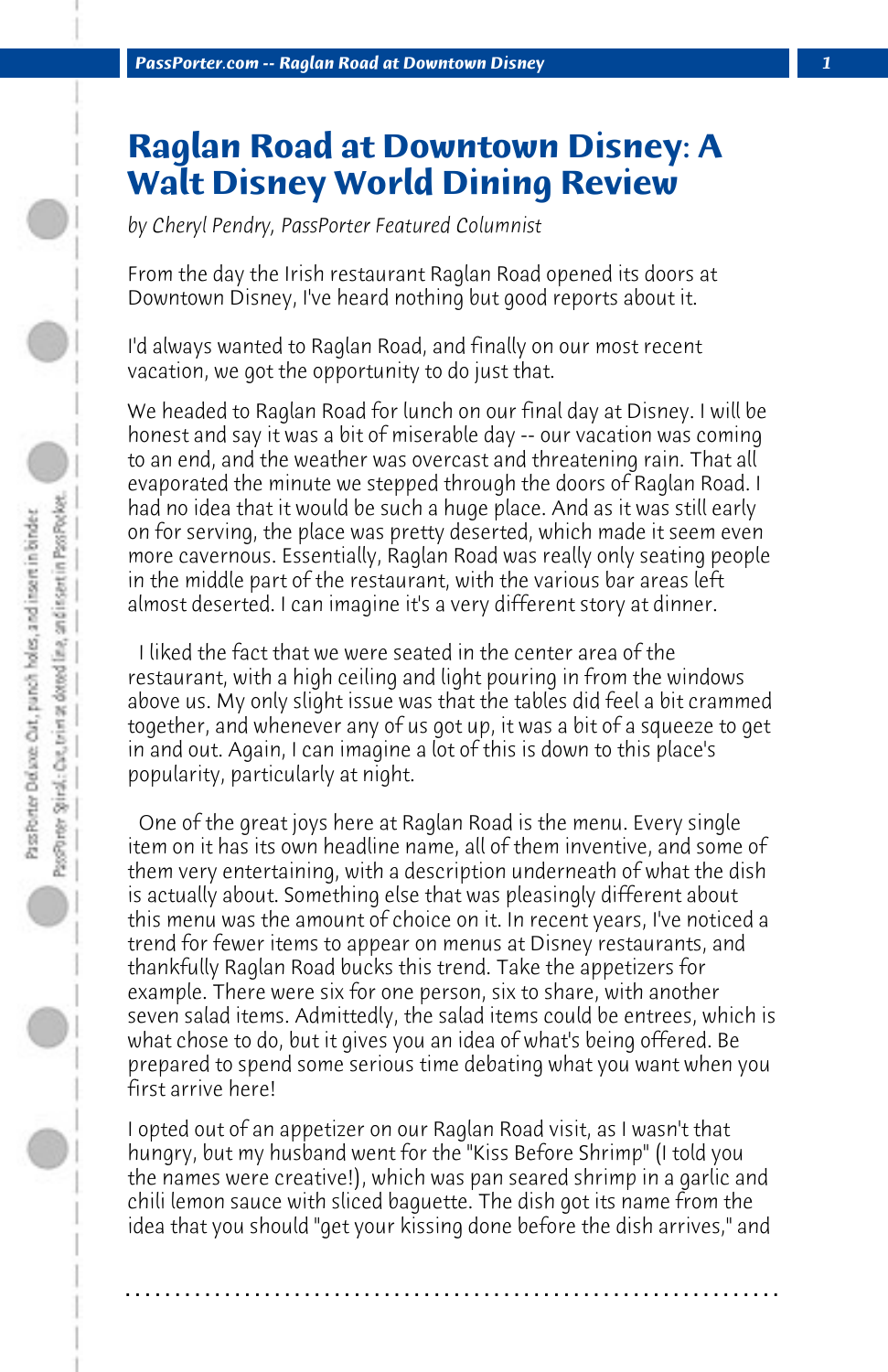## **Raglan Road at Downtown Disney: A Walt Disney World Dining Review**

*by Cheryl Pendry, PassPorter Featured Columnist*

From the day the Irish restaurant Raglan Road opened its doors at Downtown Disney, I've heard nothing but good reports about it.

I'd always wanted to Raglan Road, and finally on our most recent vacation, we got the opportunity to do just that.

We headed to Raglan Road for lunch on our final day at Disney. I will be honest and say it was a bit of miserable day -- our vacation was coming to an end, and the weather was overcast and threatening rain. That all evaporated the minute we stepped through the doors of Raglan Road. I had no idea that it would be such a huge place. And as it was still early on for serving, the place was pretty deserted, which made it seem even more cavernous. Essentially, Raglan Road was really only seating people in the middle part of the restaurant, with the various bar areas left almost deserted. I can imagine it's a very different story at dinner.

 I liked the fact that we were seated in the center area of the restaurant, with a high ceiling and light pouring in from the windows above us. My only slight issue was that the tables did feel a bit crammed together, and whenever any of us got up, it was a bit of a squeeze to get in and out. Again, I can imagine a lot of this is down to this place's popularity, particularly at night.

 One of the great joys here at Raglan Road is the menu. Every single item on it has its own headline name, all of them inventive, and some of them very entertaining, with a description underneath of what the dish is actually about. Something else that was pleasingly different about this menu was the amount of choice on it. In recent years, I've noticed a trend for fewer items to appear on menus at Disney restaurants, and thankfully Raglan Road bucks this trend. Take the appetizers for example. There were six for one person, six to share, with another seven salad items. Admittedly, the salad items could be entrees, which is what chose to do, but it gives you an idea of what's being offered. Be prepared to spend some serious time debating what you want when you first arrive here!

I opted out of an appetizer on our Raglan Road visit, as I wasn't that hungry, but my husband went for the "Kiss Before Shrimp" (I told you the names were creative!), which was pan seared shrimp in a garlic and chili lemon sauce with sliced baguette. The dish got its name from the idea that you should "get your kissing done before the dish arrives," and

**. . . . . . . . . . . . . . . . . . . . . . . . . . . . . . . . . . . . . . . . . . . . . . . . . . . . . . . . . . . . . . . . . .**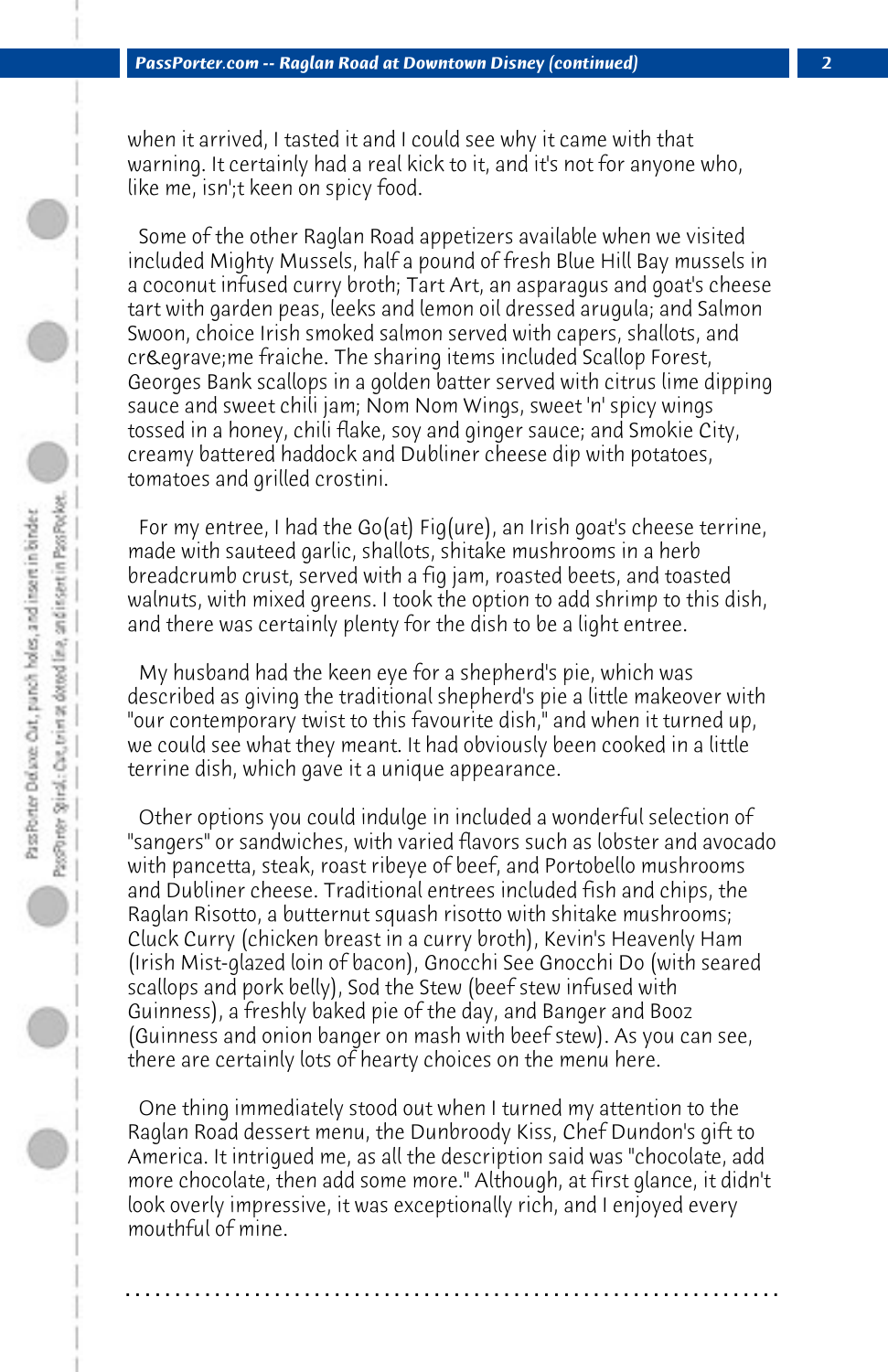when it arrived, I tasted it and I could see why it came with that warning. It certainly had a real kick to it, and it's not for anyone who, like me, isn';t keen on spicy food.

 Some of the other Raglan Road appetizers available when we visited included Mighty Mussels, half a pound of fresh Blue Hill Bay mussels in a coconut infused curry broth; Tart Art, an asparagus and goat's cheese tart with garden peas, leeks and lemon oil dressed arugula; and Salmon Swoon, choice Irish smoked salmon served with capers, shallots, and crème fraiche. The sharing items included Scallop Forest, Georges Bank scallops in a golden batter served with citrus lime dipping sauce and sweet chili jam; Nom Nom Wings, sweet 'n' spicy wings tossed in a honey, chili flake, soy and ginger sauce; and Smokie City, creamy battered haddock and Dubliner cheese dip with potatoes, tomatoes and grilled crostini.

 For my entree, I had the Go(at) Fig(ure), an Irish goat's cheese terrine, made with sauteed garlic, shallots, shitake mushrooms in a herb breadcrumb crust, served with a fig jam, roasted beets, and toasted walnuts, with mixed greens. I took the option to add shrimp to this dish, and there was certainly plenty for the dish to be a light entree.

 My husband had the keen eye for a shepherd's pie, which was described as giving the traditional shepherd's pie a little makeover with "our contemporary twist to this favourite dish," and when it turned up, we could see what they meant. It had obviously been cooked in a little terrine dish, which gave it a unique appearance.

 Other options you could indulge in included a wonderful selection of "sangers" or sandwiches, with varied flavors such as lobster and avocado with pancetta, steak, roast ribeye of beef, and Portobello mushrooms and Dubliner cheese. Traditional entrees included fish and chips, the Raglan Risotto, a butternut squash risotto with shitake mushrooms; Cluck Curry (chicken breast in a curry broth), Kevin's Heavenly Ham (Irish Mist-glazed loin of bacon), Gnocchi See Gnocchi Do (with seared scallops and pork belly), Sod the Stew (beef stew infused with Guinness), a freshly baked pie of the day, and Banger and Booz (Guinness and onion banger on mash with beef stew). As you can see, there are certainly lots of hearty choices on the menu here.

 One thing immediately stood out when I turned my attention to the Raglan Road dessert menu, the Dunbroody Kiss, Chef Dundon's gift to America. It intrigued me, as all the description said was "chocolate, add more chocolate, then add some more." Although, at first glance, it didn't look overly impressive, it was exceptionally rich, and I enjoyed every mouthful of mine.

**. . . . . . . . . . . . . . . . . . . . . . . . . . . . . . . . . . . . . . . . . . . . . . . . . . . . . . . . . . . . . . . . . .**